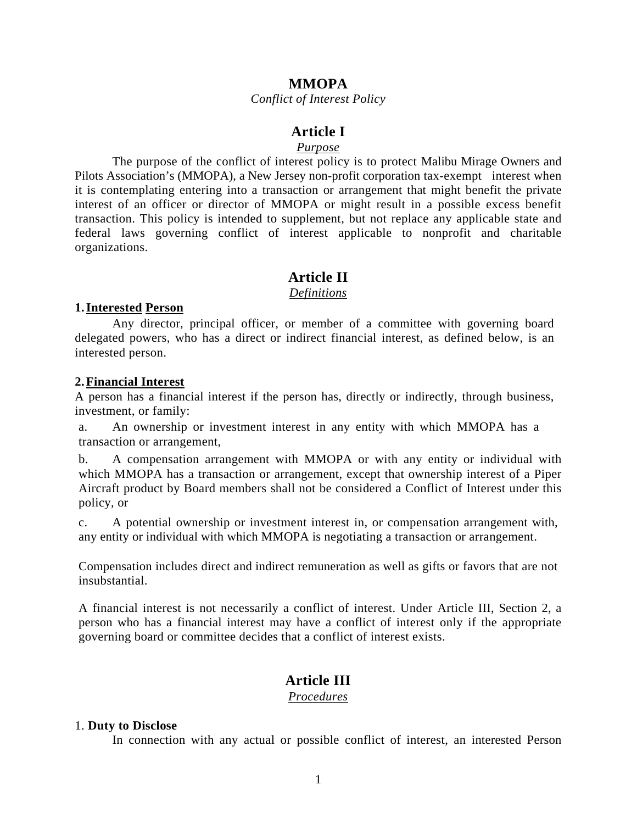## **MMOPA**

*Conflict of Interest Policy* 

# **Article I**

## *Purpose*

 The purpose of the conflict of interest policy is to protect Malibu Mirage Owners and Pilots Association's (MMOPA), a New Jersey non-profit corporation tax-exempt interest when it is contemplating entering into a transaction or arrangement that might benefit the private interest of an officer or director of MMOPA or might result in a possible excess benefit transaction. This policy is intended to supplement, but not replace any applicable state and federal laws governing conflict of interest applicable to nonprofit and charitable organizations.

#### **Article II**

#### *Definitions*

#### **1.Interested Person**

 Any director, principal officer, or member of a committee with governing board delegated powers, who has a direct or indirect financial interest, as defined below, is an interested person.

#### **2.Financial Interest**

A person has a financial interest if the person has, directly or indirectly, through business, investment, or family:

a. An ownership or investment interest in any entity with which MMOPA has a transaction or arrangement,

b. A compensation arrangement with MMOPA or with any entity or individual with which MMOPA has a transaction or arrangement, except that ownership interest of a Piper Aircraft product by Board members shall not be considered a Conflict of Interest under this policy, or

c. A potential ownership or investment interest in, or compensation arrangement with, any entity or individual with which MMOPA is negotiating a transaction or arrangement.

Compensation includes direct and indirect remuneration as well as gifts or favors that are not insubstantial.

A financial interest is not necessarily a conflict of interest. Under Article III, Section 2, a person who has a financial interest may have a conflict of interest only if the appropriate governing board or committee decides that a conflict of interest exists.

# **Article III**

#### *Procedures*

#### 1. **Duty to Disclose**

In connection with any actual or possible conflict of interest, an interested Person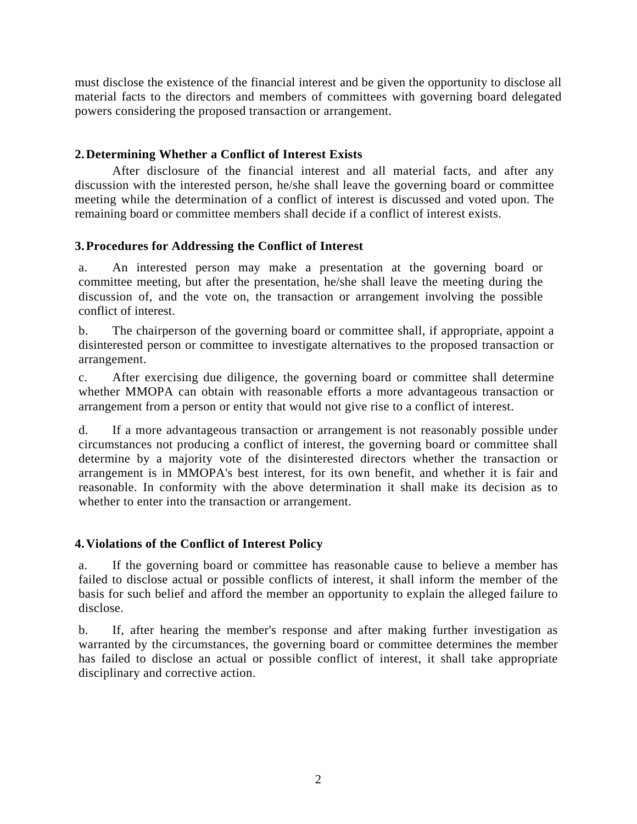must disclose the existence of the financial interest and be given the opportunity to disclose all material facts to the directors and members of committees with governing board delegated powers considering the proposed transaction or arrangement.

## **2.Determining Whether a Conflict of Interest Exists**

 After disclosure of the financial interest and all material facts, and after any discussion with the interested person, he/she shall leave the governing board or committee meeting while the determination of a conflict of interest is discussed and voted upon. The remaining board or committee members shall decide if a conflict of interest exists.

#### **3.Procedures for Addressing the Conflict of Interest**

a. An interested person may make a presentation at the governing board or committee meeting, but after the presentation, he/she shall leave the meeting during the discussion of, and the vote on, the transaction or arrangement involving the possible conflict of interest.

b. The chairperson of the governing board or committee shall, if appropriate, appoint a disinterested person or committee to investigate alternatives to the proposed transaction or arrangement.

c. After exercising due diligence, the governing board or committee shall determine whether MMOPA can obtain with reasonable efforts a more advantageous transaction or arrangement from a person or entity that would not give rise to a conflict of interest.

d. If a more advantageous transaction or arrangement is not reasonably possible under circumstances not producing a conflict of interest, the governing board or committee shall determine by a majority vote of the disinterested directors whether the transaction or arrangement is in MMOPA's best interest, for its own benefit, and whether it is fair and reasonable. In conformity with the above determination it shall make its decision as to whether to enter into the transaction or arrangement.

## **4.Violations of the Conflict of Interest Policy**

a. If the governing board or committee has reasonable cause to believe a member has failed to disclose actual or possible conflicts of interest, it shall inform the member of the basis for such belief and afford the member an opportunity to explain the alleged failure to disclose.

b. If, after hearing the member's response and after making further investigation as warranted by the circumstances, the governing board or committee determines the member has failed to disclose an actual or possible conflict of interest, it shall take appropriate disciplinary and corrective action.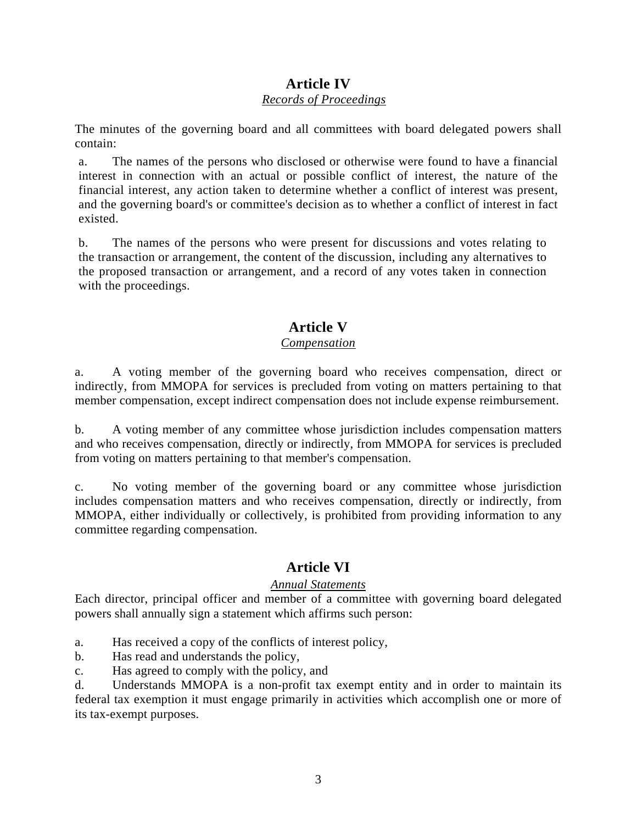# **Article IV**

#### *Records of Proceedings*

The minutes of the governing board and all committees with board delegated powers shall contain:

a. The names of the persons who disclosed or otherwise were found to have a financial interest in connection with an actual or possible conflict of interest, the nature of the financial interest, any action taken to determine whether a conflict of interest was present, and the governing board's or committee's decision as to whether a conflict of interest in fact existed.

b. The names of the persons who were present for discussions and votes relating to the transaction or arrangement, the content of the discussion, including any alternatives to the proposed transaction or arrangement, and a record of any votes taken in connection with the proceedings.

# **Article V**

## *Compensation*

a. A voting member of the governing board who receives compensation, direct or indirectly, from MMOPA for services is precluded from voting on matters pertaining to that member compensation, except indirect compensation does not include expense reimbursement.

b. A voting member of any committee whose jurisdiction includes compensation matters and who receives compensation, directly or indirectly, from MMOPA for services is precluded from voting on matters pertaining to that member's compensation.

c. No voting member of the governing board or any committee whose jurisdiction includes compensation matters and who receives compensation, directly or indirectly, from MMOPA, either individually or collectively, is prohibited from providing information to any committee regarding compensation.

# **Article VI**

## *Annual Statements*

Each director, principal officer and member of a committee with governing board delegated powers shall annually sign a statement which affirms such person:

- a. Has received a copy of the conflicts of interest policy,
- b. Has read and understands the policy,
- c. Has agreed to comply with the policy, and

d. Understands MMOPA is a non-profit tax exempt entity and in order to maintain its federal tax exemption it must engage primarily in activities which accomplish one or more of its tax-exempt purposes.